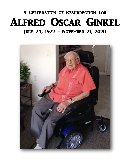## A Celebration of Resurrection For Alfred Oscar Ginkel July 24, 1922 - November 21, 2020

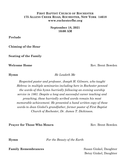## **FIRST BAPTIST CHURCH OF ROCHESTER 175 ALLENS CREEK ROAD, ROCHESTER, NEW YORK 14618 www.rochesterfbc.org**

**September 18, 2021 10:00 AM**

**Prelude**

**Chiming of the Hour**

**Seating of the Family** 

**Welcome Home Rev.** Brent Bowden

**Hymn** *He Leadeth Me*

*Respected pastor and professor, Joseph H. Gilmore, who taught Hebrew in multiple seminaries including here in Rochester penned the words of this hymn hurriedly following an evening worship service in 1861. Despite a long and successful career teaching and preaching, these hurriedly scribed words remain his most memorable achievement. He presented a hand written copy of these words to Jean Ginkel's grandfather, former pastor of First Baptist Church of Rochester, Dr. James T. Dickinson.*

**Prayer for Those Who Mourn** Rev. Brent Bowden

**Hymn** *For the Beauty of the Earth*

**Family Remembrances** Susan Ginkel, Daughter

Betsy Ginkel, Daughter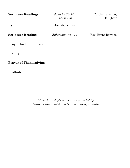| <b>Scripture Readings</b>      | John 13:33-34<br>Psalm 100 | Carolyn Skelton,<br>Daughter |
|--------------------------------|----------------------------|------------------------------|
| Hymn                           | Amazing Grace              |                              |
| <b>Scripture Reading</b>       | $Ephesians$ 4:11-13        | Rev. Brent Bowden            |
| <b>Prayer for Illumination</b> |                            |                              |
| Homily                         |                            |                              |
| <b>Prayer of Thanksgiving</b>  |                            |                              |
| Postlude                       |                            |                              |

*Music for today's service was provided by Lauren Case, soloist and Samuel Baker, organist*